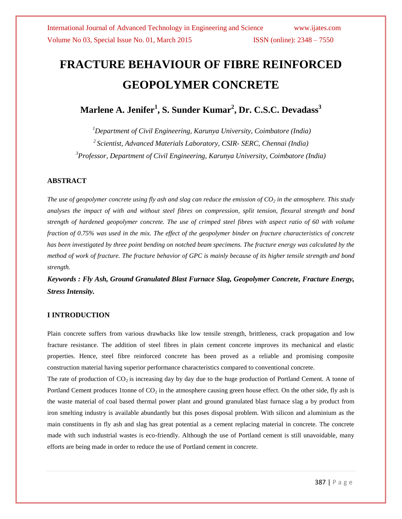# **FRACTURE BEHAVIOUR OF FIBRE REINFORCED GEOPOLYMER CONCRETE**

**Marlene A. Jenifer<sup>1</sup> , S. Sunder Kumar<sup>2</sup> , Dr. C.S.C. Devadass<sup>3</sup>**

*<sup>1</sup>Department of Civil Engineering, Karunya University, Coimbatore (India) 2 Scientist, Advanced Materials Laboratory, CSIR- SERC, Chennai (India) <sup>3</sup>Professor, Department of Civil Engineering, Karunya University, Coimbatore (India)*

#### **ABSTRACT**

*The use of geopolymer concrete using fly ash and slag can reduce the emission of CO<sup>2</sup> in the atmosphere. This study analyses the impact of with and without steel fibres on compression, split tension, flexural strength and bond strength of hardened geopolymer concrete. The use of crimped steel fibres with aspect ratio of 60 with volume fraction of 0.75% was used in the mix. The effect of the geopolymer binder on fracture characteristics of concrete has been investigated by three point bending on notched beam specimens. The fracture energy was calculated by the method of work of fracture. The fracture behavior of GPC is mainly because of its higher tensile strength and bond strength.* 

*Keywords : Fly Ash, Ground Granulated Blast Furnace Slag, Geopolymer Concrete, Fracture Energy, Stress Intensity.* 

#### **I INTRODUCTION**

Plain concrete suffers from various drawbacks like low tensile strength, brittleness, crack propagation and low fracture resistance. The addition of steel fibres in plain cement concrete improves its mechanical and elastic properties. Hence, steel fibre reinforced concrete has been proved as a reliable and promising composite construction material having superior performance characteristics compared to conventional concrete.

The rate of production of  $CO_2$  is increasing day by day due to the huge production of Portland Cement. A tonne of Portland Cement produces 1tonne of  $CO<sub>2</sub>$  in the atmosphere causing green house effect. On the other side, fly ash is the waste material of coal based thermal power plant and ground granulated blast furnace slag a by product from iron smelting industry is available abundantly but this poses disposal problem. With silicon and aluminium as the main constituents in fly ash and slag has great potential as a cement replacing material in concrete. The concrete made with such industrial wastes is eco-friendly. Although the use of Portland cement is still unavoidable, many efforts are being made in order to reduce the use of Portland cement in concrete.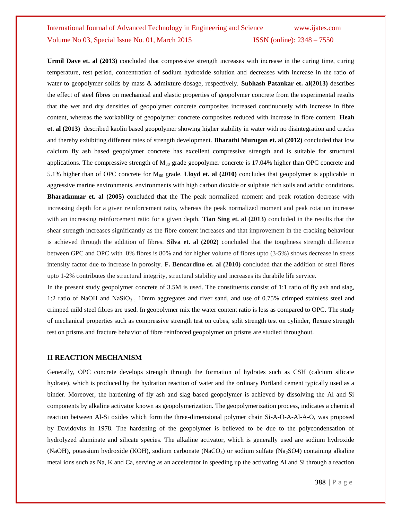**Urmil Dave et. al (2013)** concluded that compressive strength increases with increase in the curing time, curing temperature, rest period, concentration of sodium hydroxide solution and decreases with increase in the ratio of water to geopolymer solids by mass & admixture dosage, respectively. **Subhash Patankar et. al(2013)** describes the effect of steel fibres on mechanical and elastic properties of geopolymer concrete from the experimental results that the wet and dry densities of geopolymer concrete composites increased continuously with increase in fibre content, whereas the workability of geopolymer concrete composites reduced with increase in fibre content. **Heah et. al (2013)** described kaolin based geopolymer showing higher stability in water with no disintegration and cracks and thereby exhibiting different rates of strength development. **Bharathi Murugan et. al (2012)** concluded that low calcium fly ash based geopolymer concrete has excellent compressive strength and is suitable for structural applications. The compressive strength of  $M_{30}$  grade geopolymer concrete is 17.04% higher than OPC concrete and 5.1% higher than of OPC concrete for  $M_{60}$  grade. **Lloyd et. al (2010)** concludes that geopolymer is applicable in aggressive marine environments, environments with high carbon dioxide or sulphate rich soils and acidic conditions. **Bharatkumar et. al (2005)** concluded that the The peak normalized moment and peak rotation decrease with increasing depth for a given reinforcement ratio, whereas the peak normalized moment and peak rotation increase with an increasing reinforcement ratio for a given depth. **Tian Sing et. al (2013)** concluded in the results that the shear strength increases significantly as the fibre content increases and that improvement in the cracking behaviour is achieved through the addition of fibres. **Silva et. al (2002)** concluded that the toughness strength difference between GPC and OPC with 0% fibres is 80% and for higher volume of fibres upto (3-5%) shows decrease in stress intensity factor due to increase in porosity. **F. Bencardino et. al (2010)** concluded that the addition of steel fibres upto 1-2% contributes the structural integrity, structural stability and increases its durabile life service.

In the present study geopolymer concrete of 3.5M is used. The constituents consist of 1:1 ratio of fly ash and slag, 1:2 ratio of NaOH and NaSiO<sub>3</sub>, 10mm aggregates and river sand, and use of 0.75% crimped stainless steel and crimped mild steel fibres are used. In geopolymer mix the water content ratio is less as compared to OPC. The study of mechanical properties such as compressive strength test on cubes, split strength test on cylinder, flexure strength test on prisms and fracture behavior of fibre reinforced geopolymer on prisms are studied throughout.

#### **II REACTION MECHANISM**

Generally, OPC concrete develops strength through the formation of hydrates such as CSH (calcium silicate hydrate), which is produced by the hydration reaction of water and the ordinary Portland cement typically used as a binder. Moreover, the hardening of fly ash and slag based geopolymer is achieved by dissolving the Al and Si components by alkaline activator known as geopolymerization. The geopolymerization process, indicates a chemical reaction between Al-Si oxides which form the three-dimensional polymer chain Si-A-O-A-Al-A-O, was proposed by Davidovits in 1978. The hardening of the geopolymer is believed to be due to the polycondensation of hydrolyzed aluminate and silicate species. The alkaline activator, which is generally used are sodium hydroxide (NaOH), potassium hydroxide (KOH), sodium carbonate (NaCO<sub>3</sub>) or sodium sulfate (Na<sub>2</sub>SO4) containing alkaline metal ions such as Na, K and Ca, serving as an accelerator in speeding up the activating Al and Si through a reaction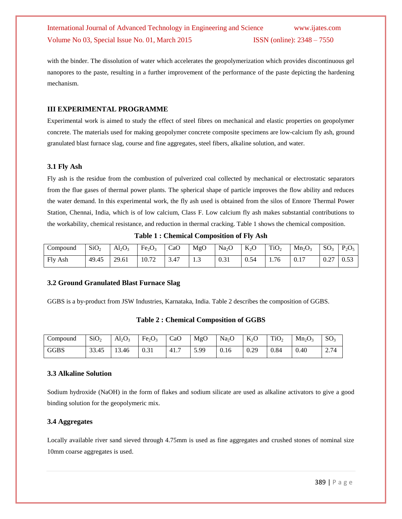with the binder. The dissolution of water which accelerates the geopolymerization which provides discontinuous gel nanopores to the paste, resulting in a further improvement of the performance of the paste depicting the hardening mechanism.

#### **III EXPERIMENTAL PROGRAMME**

Experimental work is aimed to study the effect of steel fibres on mechanical and elastic properties on geopolymer concrete. The materials used for making geopolymer concrete composite specimens are low-calcium fly ash, ground granulated blast furnace slag, course and fine aggregates, steel fibers, alkaline solution, and water.

#### **3.1 Fly Ash**

Fly ash is the residue from the combustion of pulverized coal collected by mechanical or electrostatic separators from the flue gases of thermal power plants. The spherical shape of particle improves the flow ability and reduces the water demand. In this experimental work, the fly ash used is obtained from the silos of Ennore Thermal Power Station, Chennai, India, which is of low calcium, Class F. Low calcium fly ash makes substantial contributions to the workability, chemical resistance, and reduction in thermal cracking. Table 1 shows the chemical composition.

**Table 1 : Chemical Composition of Fly Ash**

| Compound   | SiO <sub>2</sub><br>∸ | $Al_2O_3$<br><u>.</u> | Fe <sub>2</sub> O <sub>3</sub> | CaO  | MgO | Na <sub>2</sub> O<br>∸ | $K_2O$<br>∼ | TiO <sub>2</sub><br>∸ | $Mn_2O_3$             | SO <sub>3</sub> | $D \cap$<br>$^{\prime}$ <sub>2</sub> $\cup$ <sub>5</sub> |
|------------|-----------------------|-----------------------|--------------------------------|------|-----|------------------------|-------------|-----------------------|-----------------------|-----------------|----------------------------------------------------------|
| Fly<br>Ash | 49.45                 | 29.61                 | 10.72                          | 3.47 | ر   | 0.21<br>U.51           | 0.54<br>U.5 | 1.76                  | 0.1<br>1 <sub>7</sub> | $\sim$<br>U.L   | 0.53                                                     |

#### **3.2 Ground Granulated Blast Furnace Slag**

GGBS is a by-product from JSW Industries, Karnataka, India. Table 2 describes the composition of GGBS.

**Table 2 : Chemical Composition of GGBS**

| Compound | SiO <sub>2</sub> | $Al_2O_3$ | Fe <sub>2</sub> O <sub>3</sub> | CaO  | MgO  | Na <sub>2</sub> O | $K_2O$ | TiO <sub>2</sub> | $Mn_2O_3$ | SO <sub>3</sub> |
|----------|------------------|-----------|--------------------------------|------|------|-------------------|--------|------------------|-----------|-----------------|
| GGBS     | 33.45            | 13.46     | 0.31                           | 41.7 | 5.99 | 0.16              | 0.29   | 0.84             | 0.40      | 2.74            |

#### **3.3 Alkaline Solution**

Sodium hydroxide (NaOH) in the form of flakes and sodium silicate are used as alkaline activators to give a good binding solution for the geopolymeric mix.

#### **3.4 Aggregates**

Locally available river sand sieved through 4.75mm is used as fine aggregates and crushed stones of nominal size 10mm coarse aggregates is used.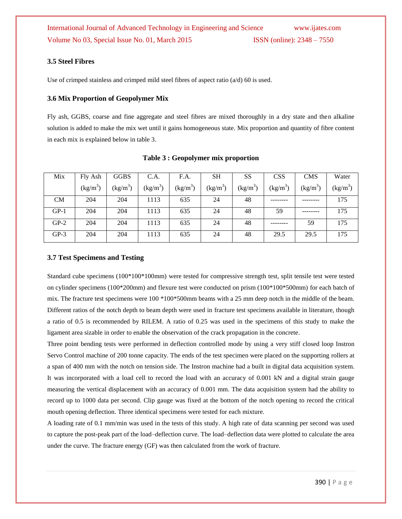#### **3.5 Steel Fibres**

Use of crimped stainless and crimped mild steel fibres of aspect ratio (a/d) 60 is used.

#### **3.6 Mix Proportion of Geopolymer Mix**

Fly ash, GGBS, coarse and fine aggregate and steel fibres are mixed thoroughly in a dry state and then alkaline solution is added to make the mix wet until it gains homogeneous state. Mix proportion and quantity of fibre content in each mix is explained below in table 3.

| Mix       | Fly Ash    | <b>GGBS</b> | C.A.       | F.A.       | SH         | SS         | <b>CSS</b> | <b>CMS</b> | Water      |
|-----------|------------|-------------|------------|------------|------------|------------|------------|------------|------------|
|           | $(kg/m^3)$ | $(kg/m^3)$  | $(kg/m^3)$ | $(kg/m^3)$ | $(kg/m^3)$ | $(kg/m^3)$ | $(kg/m^3)$ | $(kg/m^3)$ | $(kg/m^3)$ |
| <b>CM</b> | 204        | 204         | 1113       | 635        | 24         | 48         |            |            | 175        |
| $GP-1$    | 204        | 204         | 1113       | 635        | 24         | 48         | 59         |            | 175        |
| $GP-2$    | 204        | 204         | 1113       | 635        | 24         | 48         |            | 59         | 175        |
| $GP-3$    | 204        | 204         | 1113       | 635        | 24         | 48         | 29.5       | 29.5       | 175        |

#### **Table 3 : Geopolymer mix proportion**

#### **3.7 Test Specimens and Testing**

Standard cube specimens (100\*100\*100mm) were tested for compressive strength test, split tensile test were tested on cylinder specimens (100\*200mm) and flexure test were conducted on prism (100\*100\*500mm) for each batch of mix. The fracture test specimens were 100 \*100\*500mm beams with a 25 mm deep notch in the middle of the beam. Different ratios of the notch depth to beam depth were used in fracture test specimens available in literature, though a ratio of 0.5 is recommended by RILEM. A ratio of 0.25 was used in the specimens of this study to make the ligament area sizable in order to enable the observation of the crack propagation in the concrete.

Three point bending tests were performed in deflection controlled mode by using a very stiff closed loop Instron Servo Control machine of 200 tonne capacity. The ends of the test specimen were placed on the supporting rollers at a span of 400 mm with the notch on tension side. The Instron machine had a built in digital data acquisition system. It was incorporated with a load cell to record the load with an accuracy of 0.001 kN and a digital strain gauge measuring the vertical displacement with an accuracy of 0.001 mm. The data acquisition system had the ability to record up to 1000 data per second. Clip gauge was fixed at the bottom of the notch opening to record the critical mouth opening deflection. Three identical specimens were tested for each mixture.

A loading rate of 0.1 mm/min was used in the tests of this study. A high rate of data scanning per second was used to capture the post-peak part of the load–deflection curve. The load–deflection data were plotted to calculate the area under the curve. The fracture energy (GF) was then calculated from the work of fracture.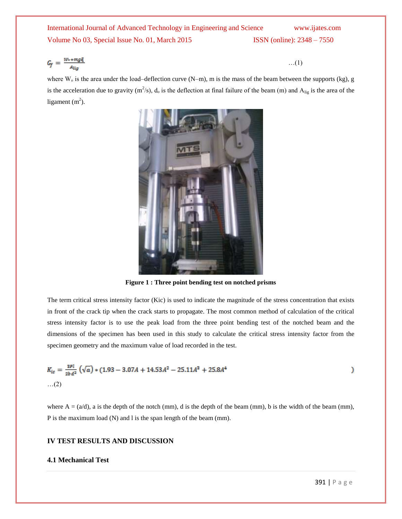$$
G_f = \frac{W + mg\zeta}{A_{lig}} \tag{1}
$$

where  $W_0$  is the area under the load–deflection curve  $(N-m)$ , m is the mass of the beam between the supports (kg), g is the acceleration due to gravity  $(m^2/s)$ ,  $d_0$  is the deflection at final failure of the beam (m) and  $A_{lig}$  is the area of the ligament  $(m<sup>2</sup>)$ .



**Figure 1 : Three point bending test on notched prisms**

The term critical stress intensity factor (Kic) is used to indicate the magnitude of the stress concentration that exists in front of the crack tip when the crack starts to propagate. The most common method of calculation of the critical stress intensity factor is to use the peak load from the three point bending test of the notched beam and the dimensions of the specimen has been used in this study to calculate the critical stress intensity factor from the specimen geometry and the maximum value of load recorded in the test.

$$
K_{ic} = \frac{apl}{2bd^2} \left( \sqrt{a} \right) * (1.93 - 3.07A + 14.53A^2 - 25.11A^2 + 25.8A^4)
$$
  
...(2)

where  $A = (a/d)$ , a is the depth of the notch (mm), d is the depth of the beam (mm), b is the width of the beam (mm), P is the maximum load (N) and l is the span length of the beam (mm).

#### **IV TEST RESULTS AND DISCUSSION**

#### **4.1 Mechanical Test**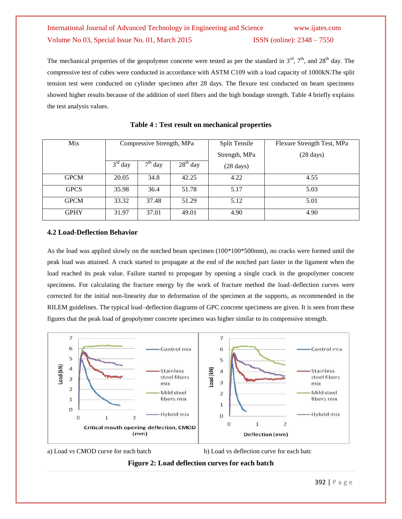The mechanical properties of the geopolymer concrete were tested as per the standard in  $3^{rd}$ ,  $7^{th}$ , and  $28^{th}$  day. The compressive test of cubes were conducted in accordance with ASTM C109 with a load capacity of 1000kN.The split tension test were conducted on cylinder specimen after 28 days. The flexure test conducted on beam specimens showed higher results because of the addition of steel fibers and the high bondage strength. Table 4 briefly explains the test analysis values.

| Mix         | Compressive Strength, MPa |           |               | <b>Split Tensile</b> | Flexure Strength Test, MPa |  |  |
|-------------|---------------------------|-----------|---------------|----------------------|----------------------------|--|--|
|             |                           |           | Strength, MPa | $(28 \text{ days})$  |                            |  |  |
|             | $3rd$ day                 | $7th$ day | $28th$ day    | $(28 \text{ days})$  |                            |  |  |
| <b>GPCM</b> | 20.05                     | 34.8      | 42.25         | 4.22                 | 4.55                       |  |  |
| <b>GPCS</b> | 35.98                     | 36.4      | 51.78         | 5.17                 | 5.03                       |  |  |
| <b>GPCM</b> | 33.32                     | 37.48     | 51.29         | 5.12                 | 5.01                       |  |  |
| <b>GPHY</b> | 31.97                     | 37.01     | 49.01         | 4.90                 | 4.90                       |  |  |

**Table 4 : Test result on mechanical properties**

### **4.2 Load-Deflection Behavior**

As the load was applied slowly on the notched beam specimen (100\*100\*500mm), no cracks were formed until the peak load was attained. A crack started to propagate at the end of the notched part faster in the ligament when the load reached its peak value. Failure started to propogate by opening a single crack in the geopolymer concrete specimens. For calculating the fracture energy by the work of fracture method the load–deflection curves were corrected for the initial non-linearity due to deformation of the specimen at the supports, as recommended in the RILEM guidelines. The typical load–deflection diagrams of GPC concrete specimens are given. It is seen from these figures that the peak load of geopolymer concrete specimen was higher similar to its compressive strength.



a) Load vs CMOD curve for each batch b) Load vs deflection curve for each batc

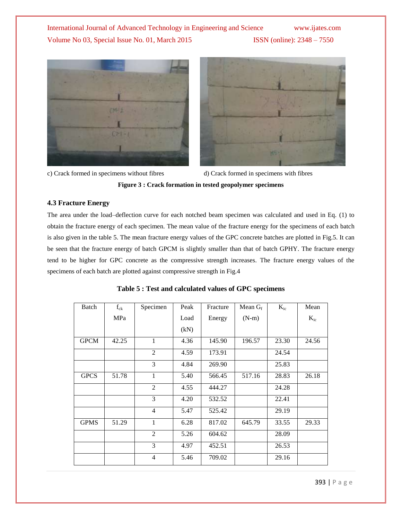



c) Crack formed in specimens without fibres d) Crack formed in specimens with fibres

**Figure 3 : Crack formation in tested geopolymer specimens**

#### **4.3 Fracture Energy**

The area under the load–deflection curve for each notched beam specimen was calculated and used in Eq. (1) to obtain the fracture energy of each specimen. The mean value of the fracture energy for the specimens of each batch is also given in the table 5. The mean fracture energy values of the GPC concrete batches are plotted in Fig.5. It can be seen that the fracture energy of batch GPCM is slightly smaller than that of batch GPHY. The fracture energy tend to be higher for GPC concrete as the compressive strength increases. The fracture energy values of the specimens of each batch are plotted against compressive strength in Fig.4

| Batch       | $f_{ck}$ | Specimen       | Peak | Fracture | Mean $G_f$ | $K_{ic}$ | Mean     |
|-------------|----------|----------------|------|----------|------------|----------|----------|
|             | MPa      |                | Load | Energy   | $(N-m)$    |          | $K_{ic}$ |
|             |          |                | (kN) |          |            |          |          |
| <b>GPCM</b> | 42.25    | $\mathbf{1}$   | 4.36 | 145.90   | 196.57     | 23.30    | 24.56    |
|             |          | $\overline{2}$ | 4.59 | 173.91   |            | 24.54    |          |
|             |          | 3              | 4.84 | 269.90   |            | 25.83    |          |
| <b>GPCS</b> | 51.78    | 1              | 5.40 | 566.45   | 517.16     | 28.83    | 26.18    |
|             |          | $\overline{2}$ | 4.55 | 444.27   |            | 24.28    |          |
|             |          | 3              | 4.20 | 532.52   |            | 22.41    |          |
|             |          | $\overline{4}$ | 5.47 | 525.42   |            | 29.19    |          |
| <b>GPMS</b> | 51.29    | 1              | 6.28 | 817.02   | 645.79     | 33.55    | 29.33    |
|             |          | $\overline{2}$ | 5.26 | 604.62   |            | 28.09    |          |
|             |          | 3              | 4.97 | 452.51   |            | 26.53    |          |
|             |          | $\overline{4}$ | 5.46 | 709.02   |            | 29.16    |          |

| Table 5 : Test and calculated values of GPC specimens |  |  |  |  |
|-------------------------------------------------------|--|--|--|--|
|-------------------------------------------------------|--|--|--|--|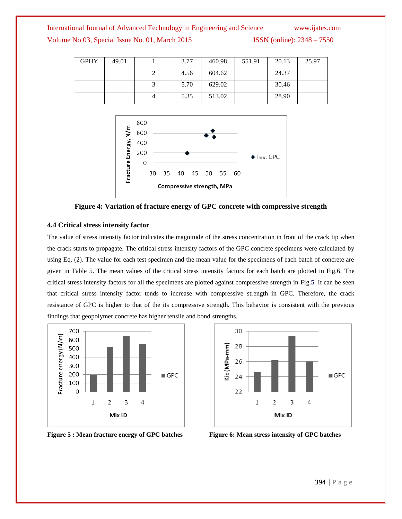| <b>GPHY</b> | 49.01 | 3.77 | 460.98 | 551.91 | 20.13 | 25.97 |
|-------------|-------|------|--------|--------|-------|-------|
|             |       | 4.56 | 604.62 |        | 24.37 |       |
|             |       | 5.70 | 629.02 |        | 30.46 |       |
|             |       | 5.35 | 513.02 |        | 28.90 |       |



#### **Figure 4: Variation of fracture energy of GPC concrete with compressive strength**

#### **4.4 Critical stress intensity factor**

The value of stress intensity factor indicates the magnitude of the stress concentration in front of the crack tip when the crack starts to propagate. The critical stress intensity factors of the GPC concrete specimens were calculated by using Eq. (2). The value for each test specimen and the mean value for the specimens of each batch of concrete are given in Table 5. The mean values of the critical stress intensity factors for each batch are plotted in Fig.6. The critical stress intensity factors for all the specimens are plotted against compressive strength in Fig.5. It can be seen that critical stress intensity factor tends to increase with compressive strength in GPC. Therefore, the crack resistance of GPC is higher to that of the its compressive strength. This behavior is consistent with the previous findings that geopolymer concrete has higher tensile and bond strengths.



**Figure 5 : Mean fracture energy of GPC batches Figure 6: Mean stress intensity of GPC batches**

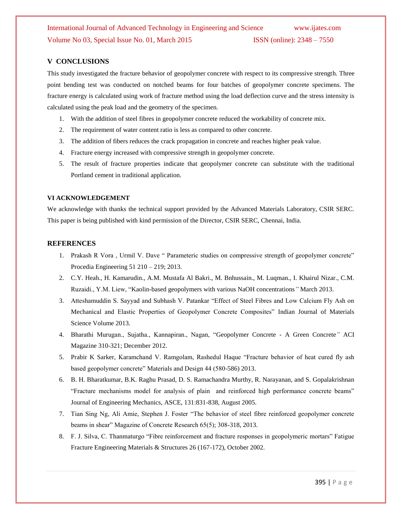#### **V CONCLUSIONS**

This study investigated the fracture behavior of geopolymer concrete with respect to its compressive strength. Three point bending test was conducted on notched beams for four batches of geopolymer concrete specimens. The fracture energy is calculated using work of fracture method using the load deflection curve and the stress intensity is calculated using the peak load and the geometry of the specimen.

- 1. With the addition of steel fibres in geopolymer concrete reduced the workability of concrete mix.
- 2. The requirement of water content ratio is less as compared to other concrete.
- 3. The addition of fibers reduces the crack propagation in concrete and reaches higher peak value.
- 4. Fracture energy increased with compressive strength in geopolymer concrete.
- 5. The result of fracture properties indicate that geopolymer concrete can substitute with the traditional Portland cement in traditional application.

#### **VI ACKNOWLEDGEMENT**

We acknowledge with thanks the technical support provided by the Advanced Materials Laboratory, CSIR SERC. This paper is being published with kind permission of the Director, CSIR SERC, Chennai, India.

#### **REFERENCES**

- 1. Prakash R Vora , Urmil V. Dave " Parameteric studies on compressive strength of geopolymer concrete" Procedia Engineering 51 210 – 219; 2013.
- 2. C.Y. Heah., H. Kamarudin., A.M. Mustafa Al Bakri., M. Bnhussain., M. Luqman., I. Khairul Nizar., C.M. Ruzaidi., Y.M. Liew, "Kaolin-based geopolymers with various NaOH concentrations*"* March 2013.
- 3. Atteshamuddin S. Sayyad and Subhash V. Patankar "Effect of Steel Fibres and Low Calcium Fly Ash on Mechanical and Elastic Properties of Geopolymer Concrete Composites" Indian Journal of Materials Science Volume 2013.
- 4. Bharathi Murugan., Sujatha., Kannapiran., Nagan, "Geopolymer Concrete A Green Concrete*"* ACI Magazine 310-321; December 2012.
- 5. Prabir K Sarker, Karamchand V. Ramgolam, Rashedul Haque "Fracture behavior of heat cured fly ash based geopolymer concrete" Materials and Design 44 (580-586) 2013.
- 6. B. H. Bharatkumar, B.K. Raghu Prasad, D. S. Ramachandra Murthy, R. Narayanan, and S. Gopalakrishnan "Fracture mechanisms model for analysis of plain and reinforced high performance concrete beams" Journal of Engineering Mechanics, ASCE, 131:831-838, August 2005.
- 7. Tian Sing Ng, Ali Amie, Stephen J. Foster "The behavior of steel fibre reinforced geopolymer concrete beams in shear" Magazine of Concrete Research 65(5); 308-318, 2013.
- 8. F. J. Silva, C. Thanmaturgo "Fibre reinforcement and fracture responses in geopolymeric mortars" Fatigue Fracture Engineering Materials & Structures 26 (167-172), October 2002.